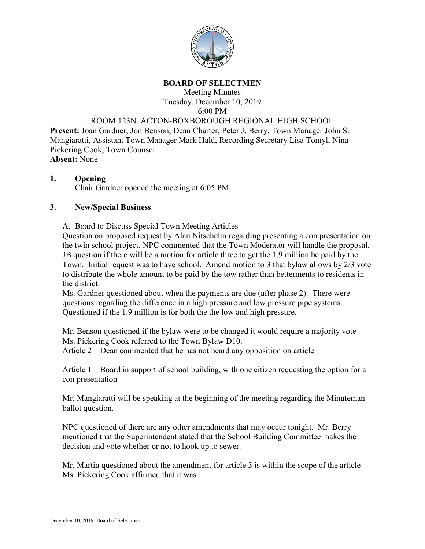

## **BOARD OF SELECTMEN**

Meeting Minutes Tuesday, December 10, 2019 6:00 PM

## ROOM 123N, ACTON-BOXBOROUGH REGIONAL HIGH SCHOOL

**Present:** Joan Gardner, Jon Benson, Dean Charter, Peter J. Berry, Town Manager John S. Mangiaratti, Assistant Town Manager Mark Hald, Recording Secretary Lisa Tomyl, Nina Pickering Cook, Town Counsel **Absent:** None

# **1. Opening**

Chair Gardner opened the meeting at 6:05 PM

#### **3. New/Special Business**

#### A. Board to Discuss Special Town Meeting Articles

Question on proposed request by Alan Nitschelm regarding presenting a con presentation on the twin school project, NPC commented that the Town Moderator will handle the proposal. JB question if there will be a motion for article three to get the 1.9 million be paid by the Town. Initial request was to have school. Amend motion to 3 that bylaw allows by 2/3 vote to distribute the whole amount to be paid by the tow rather than betterments to residents in the district.

Ms. Gardner questioned about when the payments are due (after phase 2). There were questions regarding the difference in a high pressure and low pressure pipe systems. Questioned if the 1.9 million is for both the the low and high pressure.

Mr. Benson questioned if the bylaw were to be changed it would require a majority vote – Ms. Pickering Cook referred to the Town Bylaw D10.

Article 2 – Dean commented that he has not heard any opposition on article

Article 1 – Board in support of school building, with one citizen requesting the option for a con presentation

Mr. Mangiaratti will be speaking at the beginning of the meeting regarding the Minuteman ballot question.

NPC questioned of there are any other amendments that may occur tonight. Mr. Berry mentioned that the Superintendent stated that the School Building Committee makes the decision and vote whether or not to hook up to sewer.

Mr. Martin questioned about the amendment for article  $3$  is within the scope of the article – Ms. Pickering Cook affirmed that it was.